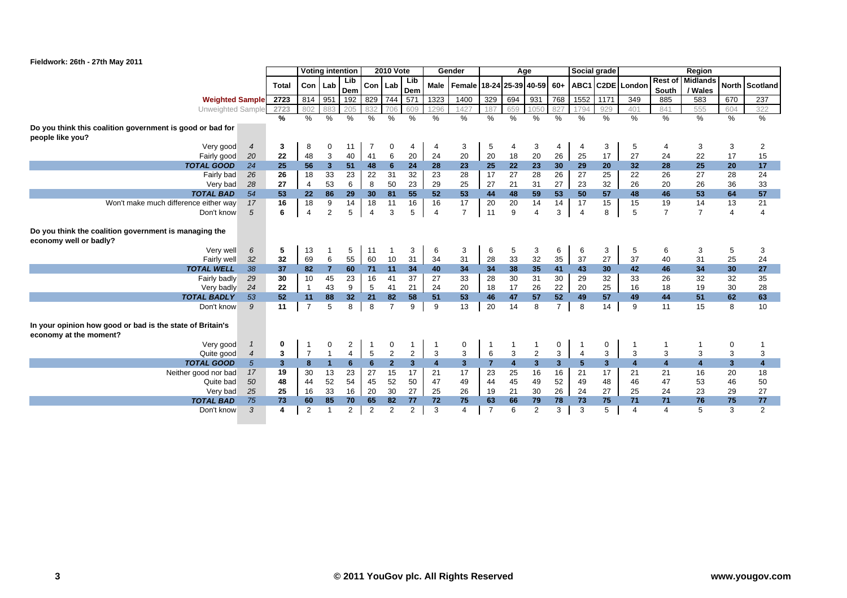

|                                                           |                |                |                | <b>Voting intention</b> |                |                 | <b>2010 Vote</b> |                |                | Gender                                                             |                |                | Age                     |             | Social grade   |                |                         |                | Region                  |                |                |
|-----------------------------------------------------------|----------------|----------------|----------------|-------------------------|----------------|-----------------|------------------|----------------|----------------|--------------------------------------------------------------------|----------------|----------------|-------------------------|-------------|----------------|----------------|-------------------------|----------------|-------------------------|----------------|----------------|
|                                                           |                | Total          | Con Lab        |                         | Lib            | Con             | Lab              | Lib            |                | Male   Female   18-24   25-39   40-59   60+   ABC1   C2DE   London |                |                |                         |             |                |                |                         |                | Rest of Midlands        |                | North Scotland |
|                                                           |                |                |                |                         | Dem            |                 |                  | Dem            |                |                                                                    |                |                |                         |             |                |                |                         | South          | / Wales                 |                |                |
| <b>Weighted Sample</b>                                    |                | 2723           | 814            | 951                     | 192            | 829             | 744              | 571            | 1323           | 1400                                                               | 329            | 694            | 931                     | 768         | 1552           | 1171           | 349                     | 885            | 583                     | 670            | 237            |
| Unweighted Sample                                         |                | 2723           | 802            | 883                     | 205            | 832             | 706              | 609            | 1296           | 1427                                                               | 187            | 659            | 1050                    | 827         | 1794           | 929            | 401                     | 841            | 555                     | 604            | 322            |
|                                                           |                | $\%$           | $\%$           | $\frac{0}{0}$           | $\%$           | $\frac{0}{0}$   | $\%$             | $\frac{0}{0}$  | $\%$           | $\%$                                                               | $\%$           | $\frac{0}{0}$  | %                       | $\%$        | %              | $\%$           | %                       | $\%$           | %                       | %              | $\frac{0}{0}$  |
| Do you think this coalition government is good or bad for |                |                |                |                         |                |                 |                  |                |                |                                                                    |                |                |                         |             |                |                |                         |                |                         |                |                |
| people like you?                                          |                |                |                |                         |                |                 |                  |                |                |                                                                    |                |                |                         |             |                |                |                         |                |                         |                |                |
| Very good                                                 | $\overline{4}$ | 3              | 8              | 0                       | 11             |                 | 0                | 4              | 4              | 3                                                                  | 5              | 4              | 3                       | 4           | 4              | 3              | 5                       | $\overline{4}$ | 3                       | 3              | 2              |
| Fairly good                                               | 20             | 22             | 48             | 3                       | 40             | 41              | 6                | 20             | 24             | 20                                                                 | 20             | 18             | 20                      | 26          | 25             | 17             | 27                      | 24             | 22                      | 17             | 15             |
| <b>TOTAL GOOD</b>                                         | 24             | 25             | 56             | 3 <sup>2</sup>          | 51             | 48              | 6                | 24             | 28             | 23                                                                 | 25             | 22             | 23                      | 30          | 29             | 20             | 32                      | 28             | 25                      | 20             | 17             |
| Fairly bad                                                | 26             | 26             | 18             | 33                      | 23             | 22              | 31               | 32             | 23             | 28                                                                 | 17             | 27             | 28                      | 26          | 27             | 25             | 22                      | 26             | 27                      | 28             | 24             |
| Very bad                                                  | 28             | 27             | $\overline{4}$ | 53                      | 6              | 8               | 50               | 23             | 29             | 25                                                                 | 27             | 21             | 31                      | 27          | 23             | 32             | 26                      | 20             | 26                      | 36             | 33             |
| <b>TOTAL BAD</b>                                          | 54             | 53             | 22             | 86                      | 29             | 30 <sup>°</sup> | 81               | 55             | 52             | 53                                                                 | 44             | 48             | 59                      | 53          | 50             | 57             | 48                      | 46             | 53                      | 64             | 57             |
| Won't make much difference either way                     | 17             | 16             | 18             | 9                       | 14             | 18              | 11               | 16             | 16             | 17                                                                 | 20             | 20             | 14                      | 14          | 17             | 15             | 15                      | 19             | 14                      | 13             | 21             |
| Don't know                                                | 5              | 6              | $\overline{4}$ | 2                       | 5              | $\overline{4}$  | 3                | 5              | $\overline{4}$ | $\overline{7}$                                                     | 11             | 9              | $\overline{4}$          | 3           | $\overline{4}$ | 8              | 5                       | $\overline{7}$ | $\overline{7}$          | $\overline{4}$ | 4              |
|                                                           |                |                |                |                         |                |                 |                  |                |                |                                                                    |                |                |                         |             |                |                |                         |                |                         |                |                |
| Do you think the coalition government is managing the     |                |                |                |                         |                |                 |                  |                |                |                                                                    |                |                |                         |             |                |                |                         |                |                         |                |                |
| economy well or badly?                                    |                |                |                |                         |                |                 |                  |                |                |                                                                    |                |                |                         |             |                |                |                         |                |                         |                |                |
| Very well                                                 | 6              | 5              | 13             |                         | 5              | 11              |                  | 3              | 6              | 3                                                                  | 6              | 5              | 3                       | 6           | 6              | 3              | 5                       | 6              | 3                       | 5              | 3              |
| Fairly well                                               | 32             | 32             | 69             | 6                       | 55             | 60              | 10               | 31             | 34             | 31                                                                 | 28             | 33             | 32                      | 35          | 37             | 27             | 37                      | 40             | 31                      | 25             | 24             |
| <b>TOTAL WELL</b>                                         | 38             | 37             | 82             | $\overline{7}$          | 60             | 71              | 11               | 34             | 40             | 34                                                                 | 34             | 38             | 35                      | 41          | 43             | 30             | 42                      | 46             | 34                      | 30             | 27             |
| Fairly badly                                              | 29             | 30             | 10             | 45                      | 23             | 16              | 41               | 37             | 27             | 33                                                                 | 28             | 30             | 31                      | 30          | 29             | 32             | 33                      | 26             | 32                      | 32             | 35             |
| Very badly                                                | 24             | 22             |                | 43                      | 9              | 5               | 41               | 21             | 24             | 20                                                                 | 18             | 17             | 26                      | 22          | 20             | 25             | 16                      | 18             | 19                      | 30             | 28             |
| <b>TOTAL BADLY</b>                                        | 53             | 52             | 11             | 88                      | 32             | 21              | 82               | 58             | 51             | 53                                                                 | 46             | 47             | 57                      | 52          | 49             | 57             | 49                      | 44             | 51                      | 62             | 63             |
| Don't know                                                | 9              | 11             | $\overline{7}$ | 5                       | 8              | 8               | $\overline{7}$   | 9              | 9              | 13                                                                 | 20             | 14             | 8                       | $7^{\circ}$ | 8              | 14             | 9                       | 11             | 15                      | 8              | 10             |
|                                                           |                |                |                |                         |                |                 |                  |                |                |                                                                    |                |                |                         |             |                |                |                         |                |                         |                |                |
| In your opinion how good or bad is the state of Britain's |                |                |                |                         |                |                 |                  |                |                |                                                                    |                |                |                         |             |                |                |                         |                |                         |                |                |
| economy at the moment?                                    |                |                |                |                         |                |                 |                  |                |                |                                                                    |                |                |                         |             |                |                |                         |                |                         |                |                |
| Very good                                                 | $\mathbf{1}$   | 0              |                | 0                       | 2              |                 | 0                | -1             |                | 0                                                                  |                | -1             | -1                      | 0           |                | 0              | -1                      |                |                         | 0              |                |
| Quite good                                                | $\overline{4}$ | 3              | $\overline{7}$ | $\overline{1}$          | $\overline{4}$ | 5               | $\overline{2}$   | $\overline{2}$ | 3              | 3                                                                  | $\,6\,$        | 3              | $\overline{2}$          | 3           | $\overline{4}$ | 3              | 3                       | 3              | 3                       | 3              | 3              |
| <b>TOTAL GOOD</b>                                         | $\sqrt{5}$     | 3 <sup>2</sup> | 8              | $\mathbf{1}$            | 6              | 6 <sup>1</sup>  | 2 <sup>2</sup>   | $\overline{3}$ | $\overline{4}$ | 3 <sup>1</sup>                                                     | $\overline{7}$ | $\overline{4}$ | $\overline{\mathbf{3}}$ | 3           | 5              | 3 <sup>2</sup> | $\overline{\mathbf{4}}$ | $\overline{4}$ | $\overline{\mathbf{4}}$ | 3 <sup>2</sup> | 4              |
| Neither good nor bad                                      | 17             | 19             | 30             | 13                      | 23             | 27              | 15               | 17             | 21             | 17                                                                 | 23             | 25             | 16                      | 16          | 21             | 17             | 21                      | 21             | 16                      | 20             | 18             |
| Quite bad                                                 | 50             | 48             | 44             | 52                      | 54             | 45              | 52               | 50             | 47             | 49                                                                 | 44             | 45             | 49                      | 52          | 49             | 48             | 46                      | 47             | 53                      | 46             | 50             |
| Very bad                                                  | 25             | 25             | 16             | 33                      | 16             | 20              | 30               | 27             | 25             | 26                                                                 | 19             | 21             | 30                      | 26          | 24             | 27             | 25                      | 24             | 23                      | 29             | 27             |
| <b>TOTAL BAD</b>                                          | 75             | 73             | 60             | 85                      | 70             | 65              | 82               | 77             | 72             | 75                                                                 | 63             | 66             | 79                      | 78          | 73             | 75             | 71                      | 71             | 76                      | 75             | 77             |
| Don't know                                                | 3              | 4              | 2              |                         | 2              | $\overline{2}$  | $\overline{2}$   | $\overline{2}$ | 3              | 4                                                                  | $\overline{7}$ | 6              | $\overline{2}$          | 3           | 3              | 5              | 4                       | $\overline{4}$ | 5                       | 3              | 2              |
|                                                           |                |                |                |                         |                |                 |                  |                |                |                                                                    |                |                |                         |             |                |                |                         |                |                         |                |                |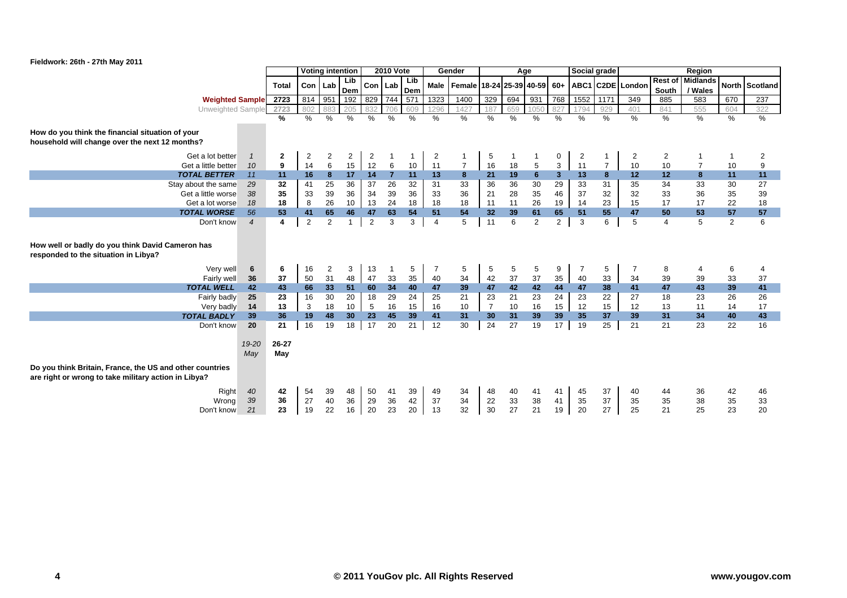

|                                                                                                                  |                |                |                         | <b>Voting intention</b> |                 |                | <b>2010 Vote</b> |                |                | Gender                                      |                | Age            |                |                         | Social grade   |                |                  |                | Region                  |                |                 |
|------------------------------------------------------------------------------------------------------------------|----------------|----------------|-------------------------|-------------------------|-----------------|----------------|------------------|----------------|----------------|---------------------------------------------|----------------|----------------|----------------|-------------------------|----------------|----------------|------------------|----------------|-------------------------|----------------|-----------------|
|                                                                                                                  |                | <b>Total</b>   | Con I                   | Lab                     | Lib.            | Con   Lab      |                  | Lib            |                | Male   Female   18-24   25-39   40-59   60+ |                |                |                |                         |                |                | ABC1 C2DE London |                | <b>Rest of Midlands</b> |                | North Scotland  |
|                                                                                                                  |                |                |                         |                         | Dem             |                |                  | Dem            |                |                                             |                |                |                |                         |                |                |                  | South          | / Wales                 |                |                 |
| <b>Weighted Sample</b>                                                                                           |                | 2723           | 814                     | 951                     | 192             | 829 744        |                  | 571            | 1323           | 1400                                        | 329            | 694            | 931            | 768                     | $1552$         | 1171           | 349              | 885            | 583                     | 670            | 237             |
| Unweighted Sample                                                                                                |                | 2723           | 802                     | 883                     | 205             | 832            | 706              | 609            | 1296           | 1427                                        | 187            | 659            | 1050           | 827                     | 1794           | 929            | 401              | 841            | 555                     | 604            | 322             |
|                                                                                                                  |                | ℅              | $\%$                    | $\frac{1}{6}$           | %               | $\frac{0}{0}$  | $\%$             | $\frac{0}{0}$  | $\%$           | $\%$                                        | $\frac{0}{0}$  | $\%$           | $\%$           | $\%$                    | $\frac{0}{0}$  | $\%$           | $\%$             | $\%$           | $\%$                    | $\%$           | %               |
| How do you think the financial situation of your<br>household will change over the next 12 months?               |                |                |                         |                         |                 |                |                  |                |                |                                             |                |                |                |                         |                |                |                  |                |                         |                |                 |
| Get a lot better                                                                                                 | $\overline{1}$ | $\mathbf{2}$   | $\overline{\mathbf{c}}$ | 2                       | $\overline{2}$  | $\overline{2}$ |                  |                | $\overline{2}$ |                                             | 5              |                |                | 0                       | 2              |                | 2                | 2              |                         |                | 2               |
| Get a little better                                                                                              | 10             | 9              | 14                      | 6                       | 15              | 12             | 6                | 10             | 11             | $\overline{7}$                              | 16             | 18             | 5              | 3                       | 11             | $\overline{7}$ | 10               | 10             | $\overline{7}$          | 10             | 9               |
| <b>TOTAL BETTER</b>                                                                                              | 11             | 11             | 16                      | 8                       | 17              | 14             | $\overline{7}$   | 11             | 13             | 8                                           | 21             | 19             | $6\phantom{1}$ | $\overline{\mathbf{3}}$ | 13             | 8              | 12               | 12             | 8                       | 11             | 11              |
| Stay about the same                                                                                              | 29             | 32             | 41                      | $\overline{25}$         | 36              | 37             | 26               | 32             | 31             | 33                                          | 36             | 36             | 30             | 29                      | 33             | 31             | 35               | 34             | 33                      | 30             | $\overline{27}$ |
| Get a little worse                                                                                               | 38             | 35             | 33                      | 39                      | 36              | 34             | 39               | 36             | 33             | 36                                          | 21             | 28             | 35             | 46                      | 37             | 32             | 32               | 33             | 36                      | 35             | 39              |
| Get a lot worse                                                                                                  | 18             | 18             | 8                       | 26                      | 10              | 13             | 24               | 18             | 18             | 18                                          | 11             | 11             | 26             | 19                      | 14             | 23             | 15               | 17             | 17                      | 22             | 18              |
| <b>TOTAL WORSE</b>                                                                                               | 56             | 53             | 41                      | 65                      | 46              | 47             | 63               | 54             | 51             | 54                                          | 32             | 39             | 61             | 65                      | 51             | 55             | 47               | 50             | 53                      | 57             | 57              |
| Don't know                                                                                                       | $\overline{4}$ | 4              | $\overline{2}$          | $\overline{2}$          | $\mathbf{1}$    | 2              | 3                | 3              | $\overline{4}$ | 5                                           | 11             | 6              | 2              | $\overline{2}$          | 3              | 6              | 5                | $\overline{4}$ | 5                       | $\overline{2}$ | 6               |
| How well or badly do you think David Cameron has<br>responded to the situation in Libya?                         |                |                |                         |                         |                 |                |                  |                |                |                                             |                |                |                |                         |                |                |                  |                |                         |                |                 |
| Very well                                                                                                        | 6              | 6              | 16                      | 2                       | 3               | 13             | -1               | 5              | 7              | 5                                           | $\,$ 5 $\,$    | 5              | 5              | 9                       | $\overline{7}$ | 5              | $\overline{7}$   | 8              | $\overline{4}$          | 6              | 4               |
| Fairly well                                                                                                      | 36             | 37             | 50                      | 31                      | 48              | 47             | 33               | 35             | 40             | 34                                          | 42             | 37             | 37             | 35                      | 40             | 33             | 34               | 39             | 39                      | 33             | 37              |
| <b>TOTAL WELL</b>                                                                                                | 42             | 43             | 66                      | 33 <sub>o</sub>         | 51              | 60             | 34               | 40             | 47             | 39                                          | 47             | 42             | 42             | 44                      | 47             | 38             | 41               | 47             | 43                      | 39             | 41              |
| Fairly badly                                                                                                     | 25             | 23             | 16                      | 30                      | 20              | 18             | 29               | 24             | 25             | 21                                          | 23             | 21             | 23             | 24                      | 23             | 22             | 27               | 18             | 23                      | 26             | 26              |
| Very badly                                                                                                       | 14             | 13             | 3                       | 18                      | 10 <sup>1</sup> | 5              | 16               | 15             | 16             | 10                                          | $\overline{7}$ | 10             | 16             | 15                      | 12             | 15             | 12               | 13             | 11                      | 14             | 17              |
| <b>TOTAL BADLY</b>                                                                                               | 39             | 36             | 19                      | 48                      | 30 <sub>2</sub> | 23             | 45               | 39             | 41             | 31                                          | 30             | 31             | 39             | 39                      | 35             | 37             | 39               | 31             | 34                      | 40             | 43              |
| Don't know                                                                                                       | 20             | 21             | 16                      | 19                      | 18              | 17             | 20               | 21             | 12             | 30                                          | 24             | 27             | 19             | 17                      | 19             | 25             | 21               | 21             | 23                      | 22             | 16              |
|                                                                                                                  | 19-20<br>May   | 26-27<br>May   |                         |                         |                 |                |                  |                |                |                                             |                |                |                |                         |                |                |                  |                |                         |                |                 |
| Do you think Britain, France, the US and other countries<br>are right or wrong to take military action in Libya? |                |                |                         |                         |                 |                |                  |                |                |                                             |                |                |                |                         |                |                |                  |                |                         |                |                 |
| Right<br>Wrong<br>Don't know                                                                                     | 40<br>39<br>21 | 42<br>36<br>23 | 54<br>27<br>19          | 39<br>40<br>22          | 48<br>36<br>16  | 50<br>29<br>20 | 41<br>36<br>23   | 39<br>42<br>20 | 49<br>37<br>13 | 34<br>34<br>32                              | 48<br>22<br>30 | 40<br>33<br>27 | 41<br>38<br>21 | 41<br>41<br>19          | 45<br>35<br>20 | 37<br>37<br>27 | 40<br>35<br>25   | 44<br>35<br>21 | 36<br>38<br>25          | 42<br>35<br>23 | 46<br>33<br>20  |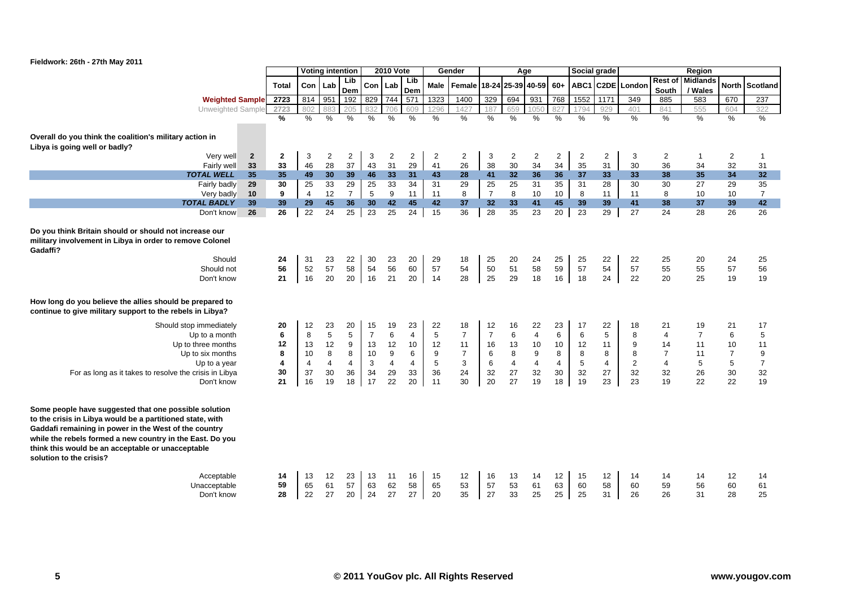

|                                                                                                                                                                                                                                                                                                                          |                                     |                                      | <b>Voting intention</b>                                       |                                                 |                                                   | <b>2010 Vote</b>                                 |                                                  |                                                              | Gender                                                                  |                                                      |                                                  | Age                                                                    |                                     | Social grade                                       |                                                  |                                                 |                                                                            | Region                                            |                                                            |                                                    |
|--------------------------------------------------------------------------------------------------------------------------------------------------------------------------------------------------------------------------------------------------------------------------------------------------------------------------|-------------------------------------|--------------------------------------|---------------------------------------------------------------|-------------------------------------------------|---------------------------------------------------|--------------------------------------------------|--------------------------------------------------|--------------------------------------------------------------|-------------------------------------------------------------------------|------------------------------------------------------|--------------------------------------------------|------------------------------------------------------------------------|-------------------------------------|----------------------------------------------------|--------------------------------------------------|-------------------------------------------------|----------------------------------------------------------------------------|---------------------------------------------------|------------------------------------------------------------|----------------------------------------------------|
|                                                                                                                                                                                                                                                                                                                          | <b>Total</b>                        | Con                                  | Lab                                                           | Lib<br>Dem                                      | Con   Lab                                         |                                                  | Lib<br>Dem                                       | Male                                                         | Female 18-24                                                            |                                                      |                                                  | 25-39 40-59                                                            | $60+$                               | ABC1                                               |                                                  | C2DE Londor                                     | <b>South</b>                                                               | <b>Rest of Midlands</b><br>/ Wales                | <b>North</b>                                               | <b>Scotland</b>                                    |
| <b>Weighted Sample</b>                                                                                                                                                                                                                                                                                                   | 2723                                | 814                                  | 951                                                           | 192                                             | 829                                               | 744                                              | 571                                              | 1323                                                         | 1400                                                                    | 329                                                  | 694                                              | 931                                                                    | 768                                 | 1552                                               | 1171                                             | 349                                             | 885                                                                        | 583                                               | 670                                                        | $\overline{237}$                                   |
| Unweighted Sample                                                                                                                                                                                                                                                                                                        | 2723                                |                                      | 883                                                           | 205                                             |                                                   | 706                                              | 609                                              | 1296                                                         | 1421                                                                    | 187                                                  | 659                                              | 1050                                                                   |                                     | 1794                                               | 929                                              | 401                                             | 841                                                                        | 555                                               | 604                                                        | 322                                                |
|                                                                                                                                                                                                                                                                                                                          | $\frac{9}{6}$                       | $\frac{0}{0}$                        | %                                                             | %                                               | $\frac{0}{0}$                                     | $\frac{0}{0}$                                    | $\frac{0}{0}$                                    | $\%$                                                         | $\%$                                                                    | $\frac{0}{0}$                                        | $\frac{0}{0}$                                    | $\%$                                                                   | $\frac{0}{0}$                       | $\frac{0}{0}$                                      | $\%$                                             | $\frac{0}{0}$                                   | $\%$                                                                       | $\frac{0}{0}$                                     | $\%$                                                       | $\%$                                               |
| Overall do you think the coalition's military action in<br>Libya is going well or badly?                                                                                                                                                                                                                                 |                                     |                                      |                                                               |                                                 |                                                   |                                                  |                                                  |                                                              |                                                                         |                                                      |                                                  |                                                                        |                                     |                                                    |                                                  |                                                 |                                                                            |                                                   |                                                            |                                                    |
| $\overline{2}$<br>Very well                                                                                                                                                                                                                                                                                              | $\mathbf{2}$                        | 3                                    | 2                                                             | $\overline{2}$                                  | 3                                                 | $\overline{2}$                                   | $\overline{2}$                                   | $\overline{2}$                                               | $\overline{2}$                                                          | 3                                                    | 2                                                | $\overline{2}$                                                         | $\overline{2}$                      | $\overline{2}$                                     | $\overline{2}$                                   | 3                                               | $\overline{2}$                                                             | $\mathbf{1}$                                      | $\overline{2}$                                             | $\mathbf 1$                                        |
| 33<br>Fairly well                                                                                                                                                                                                                                                                                                        | 33                                  | 46                                   | 28                                                            | 37                                              | 43                                                | 31                                               | 29                                               | 41                                                           | 26                                                                      | 38                                                   | 30                                               | 34                                                                     | 34                                  | 35                                                 | 31                                               | 30                                              | 36                                                                         | 34                                                | 32                                                         | 31                                                 |
| <b>TOTAL WELL</b><br>35                                                                                                                                                                                                                                                                                                  | 35                                  | 49                                   | 30                                                            | 39                                              | 46                                                | 33                                               | 31                                               | 43                                                           | 28                                                                      | 41                                                   | 32                                               | 36                                                                     | 36                                  | 37                                                 | 33                                               | 33                                              | 38                                                                         | 35                                                | 34                                                         | 32                                                 |
| Fairly badly<br>29                                                                                                                                                                                                                                                                                                       | 30                                  | 25                                   | 33                                                            | 29                                              | 25                                                | 33                                               | 34                                               | 31                                                           | 29                                                                      | 25                                                   | 25                                               | 31                                                                     | 35                                  | 31                                                 | 28                                               | 30                                              | 30                                                                         | 27                                                | 29                                                         | 35                                                 |
| 10<br>Very badly                                                                                                                                                                                                                                                                                                         | 9                                   | $\overline{4}$                       | 12                                                            | $\overline{7}$                                  | 5                                                 | 9                                                | 11                                               | 11                                                           | 8                                                                       | $\overline{7}$                                       | 8                                                | 10                                                                     | 10                                  | 8                                                  | 11                                               | 11                                              | 8                                                                          | 10                                                | 10                                                         | $\overline{7}$                                     |
| 39<br><b>TOTAL BADLY</b>                                                                                                                                                                                                                                                                                                 | 39                                  | 29                                   | 45                                                            | 36                                              | 30                                                | 42                                               | 45                                               | 42                                                           | 37                                                                      | 32                                                   | 33                                               | 41                                                                     | 45                                  | 39                                                 | 39                                               | 41                                              | 38                                                                         | 37                                                | 39                                                         | 42                                                 |
| 26<br>Don't know                                                                                                                                                                                                                                                                                                         | $\overline{26}$                     | $\overline{22}$                      | $\overline{24}$                                               | 25                                              | $\overline{23}$                                   | $\overline{25}$                                  | 24                                               | 15                                                           | 36                                                                      | 28                                                   | 35                                               | $\overline{23}$                                                        | 20                                  | 23                                                 | $\overline{29}$                                  | 27                                              | 24                                                                         | 28                                                | 26                                                         | 26                                                 |
| Do you think Britain should or should not increase our<br>military involvement in Libya in order to remove Colonel<br>Gadaffi?<br>Should<br>Should not<br>Don't know                                                                                                                                                     | 24<br>56<br>21                      | 31<br>52<br>16                       | 23<br>57<br>20                                                | 22<br>58<br>20                                  | 30<br>54<br>16                                    | 23<br>56<br>21                                   | 20<br>60<br>20                                   | 29<br>57<br>14                                               | 18<br>54<br>28                                                          | 25<br>50<br>25                                       | 20<br>51<br>29                                   | 24<br>58<br>18                                                         | 25<br>59<br>16                      | 25<br>57<br>18                                     | 22<br>54<br>24                                   | 22<br>57<br>22                                  | 25<br>55<br>20                                                             | 20<br>55<br>25                                    | 24<br>57<br>19                                             | 25<br>56<br>19                                     |
| How long do you believe the allies should be prepared to<br>continue to give military support to the rebels in Libya?                                                                                                                                                                                                    |                                     |                                      |                                                               |                                                 |                                                   |                                                  |                                                  |                                                              |                                                                         |                                                      |                                                  |                                                                        |                                     |                                                    |                                                  |                                                 |                                                                            |                                                   |                                                            |                                                    |
| Should stop immediately<br>Up to a month<br>Up to three months<br>Up to six months<br>Up to a year<br>For as long as it takes to resolve the crisis in Libya<br>Don't know                                                                                                                                               | 20<br>6<br>12<br>8<br>4<br>30<br>21 | 12<br>8<br>13<br>10<br>4<br>37<br>16 | 23<br>$\overline{5}$<br>12<br>8<br>$\overline{4}$<br>30<br>19 | 20<br>5<br>9<br>8<br>$\overline{4}$<br>36<br>18 | 15<br>$\overline{7}$<br>13<br>10<br>3<br>34<br>17 | 19<br>6<br>12<br>9<br>$\overline{4}$<br>29<br>22 | 23<br>$\overline{4}$<br>10<br>6<br>4<br>33<br>20 | 22<br>5<br>12<br>$\boldsymbol{9}$<br>$\mathbf 5$<br>36<br>11 | 18<br>$\overline{7}$<br>11<br>$\overline{7}$<br>$\mathbf 3$<br>24<br>30 | 12<br>$\overline{7}$<br>16<br>6<br>$\,6$<br>32<br>20 | 16<br>6<br>13<br>8<br>$\overline{4}$<br>27<br>27 | 22<br>$\overline{4}$<br>10<br>9<br>$\overline{\mathbf{4}}$<br>32<br>19 | 23<br>6<br>10<br>8<br>4<br>30<br>18 | 17<br>6<br>12<br>$\bf 8$<br>$\sqrt{5}$<br>32<br>19 | 22<br>5<br>11<br>8<br>$\overline{4}$<br>27<br>23 | 18<br>8<br>9<br>8<br>$\overline{c}$<br>32<br>23 | 21<br>$\overline{4}$<br>14<br>$\overline{7}$<br>$\overline{4}$<br>32<br>19 | 19<br>$\overline{7}$<br>11<br>11<br>5<br>26<br>22 | 21<br>6<br>10<br>$\overline{7}$<br>$\,$ 5 $\,$<br>30<br>22 | 17<br>5<br>11<br>9<br>$\boldsymbol{7}$<br>32<br>19 |
| Some people have suggested that one possible solution<br>to the crisis in Libya would be a partitioned state, with<br>Gaddafi remaining in power in the West of the country<br>while the rebels formed a new country in the East. Do you<br>think this would be an acceptable or unacceptable<br>solution to the crisis? |                                     |                                      |                                                               |                                                 |                                                   |                                                  |                                                  |                                                              |                                                                         |                                                      |                                                  |                                                                        |                                     |                                                    |                                                  |                                                 |                                                                            |                                                   |                                                            |                                                    |
| Acceptable<br>Unacceptable<br>Don't know                                                                                                                                                                                                                                                                                 | 14<br>59<br>28                      | 13<br>65<br>22                       | 12<br>61<br>27                                                | 23<br>57<br>20                                  | 13<br>63<br>24                                    | 11<br>62<br>27                                   | 16<br>58<br>27                                   | 15<br>65<br>20                                               | 12<br>53<br>35                                                          | 16<br>57<br>27                                       | 13<br>53<br>33                                   | 14<br>61<br>25                                                         | 12<br>63<br>25                      | 15<br>60<br>25                                     | 12<br>58<br>31                                   | 14<br>60<br>26                                  | 14<br>59<br>26                                                             | 14<br>56<br>31                                    | 12<br>60<br>28                                             | 14<br>61<br>25                                     |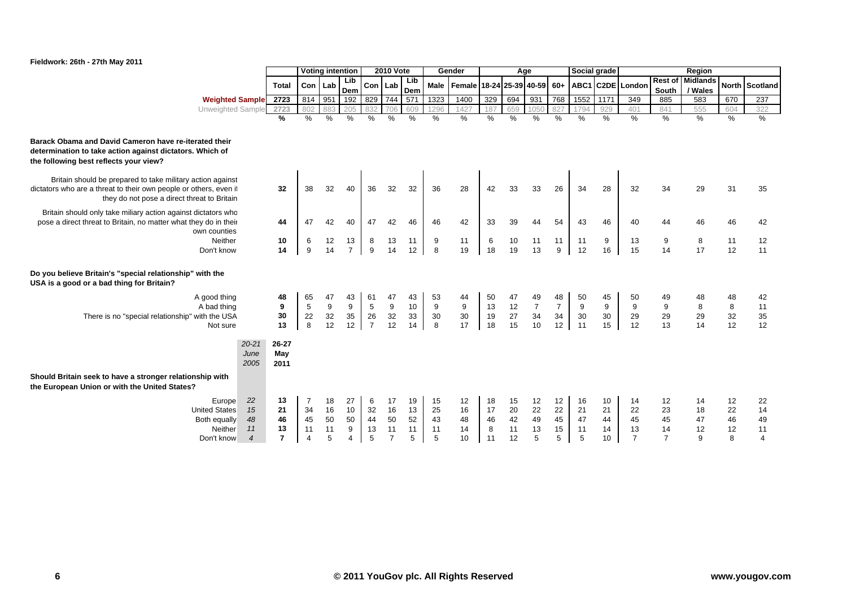

|                                                                                                                                                                                |                                        |                                                    | <b>Voting intention</b>   |                                    |                                               | <b>2010 Vote</b>                       |                           |                           | Gender                                |                           | Age                        |                                  |                                  | Social grade              |                                          |                                        |                                        | Region                               |                           |                                        |
|--------------------------------------------------------------------------------------------------------------------------------------------------------------------------------|----------------------------------------|----------------------------------------------------|---------------------------|------------------------------------|-----------------------------------------------|----------------------------------------|---------------------------|---------------------------|---------------------------------------|---------------------------|----------------------------|----------------------------------|----------------------------------|---------------------------|------------------------------------------|----------------------------------------|----------------------------------------|--------------------------------------|---------------------------|----------------------------------------|
|                                                                                                                                                                                | <b>Total</b>                           |                                                    | Con Lab                   | Lib<br>Dem                         |                                               | Con Lab                                | Lib<br>Dem                |                           | Male   Female   18-24   25-39   40-59 |                           |                            |                                  | $60+$                            |                           |                                          | ABC1 C2DE London                       | <b>Rest of</b><br>South                | <b>Midlands</b><br>/ Wales           |                           | North Scotland                         |
| <b>Weighted Sample</b>                                                                                                                                                         | 2723                                   | 814                                                | 951                       | 192                                | 829                                           | 744                                    | 571                       | 1323                      | 1400                                  | 329                       | 694                        | 931                              | 768                              | 1552                      | 1171                                     | 349                                    | 885                                    | 583                                  | 670                       | 237                                    |
| Unweighted Sample                                                                                                                                                              | 2723                                   | 802                                                | 883                       | 205                                | 832                                           | 706                                    | 609                       | 1296                      | 1427                                  | 187                       | 659                        | 1050                             | 827                              | 1794                      | 929                                      | 401                                    | 841                                    | 555                                  | 604                       | 322                                    |
|                                                                                                                                                                                | $\frac{9}{6}$                          | %                                                  | $\%$                      | $\frac{0}{0}$                      | $\frac{0}{0}$                                 | $\frac{0}{0}$                          | $\frac{9}{6}$             | $\%$                      | $\frac{0}{0}$                         | $\%$                      | $\%$                       | $\%$                             | $\%$                             | $\frac{0}{0}$             | %                                        | $\frac{0}{0}$                          | $\frac{0}{0}$                          | $\%$                                 | %                         | %                                      |
| Barack Obama and David Cameron have re-iterated their<br>determination to take action against dictators. Which of<br>the following best reflects your view?                    |                                        |                                                    |                           |                                    |                                               |                                        |                           |                           |                                       |                           |                            |                                  |                                  |                           |                                          |                                        |                                        |                                      |                           |                                        |
| Britain should be prepared to take military action against<br>dictators who are a threat to their own people or others, even if<br>they do not pose a direct threat to Britain | 32                                     | 38                                                 | 32                        | 40                                 | 36                                            | 32                                     | 32                        | 36                        | 28                                    | 42                        | 33                         | 33                               | 26                               | 34                        | 28                                       | 32                                     | 34                                     | 29                                   | 31                        | 35                                     |
| Britain should only take miliary action against dictators who<br>pose a direct threat to Britain, no matter what they do in their<br>own counties                              | 44                                     | 47                                                 | 42                        | 40                                 | 47                                            | 42                                     | 46                        | 46                        | 42                                    | 33                        | 39                         | 44                               | 54                               | 43                        | 46                                       | 40                                     | 44                                     | 46                                   | 46                        | 42                                     |
| Neither<br>Don't know                                                                                                                                                          | 10<br>14                               | 6<br>9                                             | 12<br>14                  | 13<br>$\overline{7}$               | 8<br>9                                        | 13<br>14                               | 11<br>12                  | 9<br>$\bf 8$              | 11<br>19                              | 6<br>18                   | 10<br>19                   | 11<br>13                         | 11<br>$9\,$                      | 11<br>12                  | 9<br>16                                  | 13<br>15                               | 9<br>14                                | 8<br>17                              | 11<br>12                  | 12<br>11                               |
| Do you believe Britain's "special relationship" with the<br>USA is a good or a bad thing for Britain?                                                                          |                                        |                                                    |                           |                                    |                                               |                                        |                           |                           |                                       |                           |                            |                                  |                                  |                           |                                          |                                        |                                        |                                      |                           |                                        |
| A good thing<br>A bad thing<br>There is no "special relationship" with the USA<br>Not sure                                                                                     | 48<br>9<br>30<br>13                    | 65<br>$\,$ 5 $\,$<br>22<br>8                       | 47<br>9<br>32<br>12       | 43<br>$\boldsymbol{9}$<br>35<br>12 | 61<br>$5\phantom{.0}$<br>26<br>$\overline{7}$ | 47<br>9<br>32<br>12                    | 43<br>10<br>33<br>14      | 53<br>9<br>30<br>8        | 44<br>$\mathsf g$<br>$30\,$<br>17     | 50<br>13<br>19<br>18      | 47<br>12<br>27<br>15       | 49<br>$\overline{7}$<br>34<br>10 | 48<br>$\overline{7}$<br>34<br>12 | 50<br>9<br>30<br>11       | 45<br>9<br>30<br>15                      | 50<br>$\boldsymbol{9}$<br>29<br>12     | $\boldsymbol{9}$<br>29<br>13           | $\bf 8$<br>29<br>14                  | 48<br>8<br>32<br>12       | 42<br>11<br>35<br>12                   |
| $20 - 21$<br>June<br>2005                                                                                                                                                      | 26-27<br>May<br>2011                   |                                                    |                           |                                    |                                               |                                        |                           |                           |                                       |                           |                            |                                  |                                  |                           |                                          |                                        |                                        |                                      |                           |                                        |
| Should Britain seek to have a stronger relationship with<br>the European Union or with the United States?                                                                      |                                        |                                                    |                           |                                    |                                               |                                        |                           |                           |                                       |                           |                            |                                  |                                  |                           |                                          |                                        |                                        |                                      |                           |                                        |
| 22<br>Europe<br>15<br><b>United States</b><br>48<br>Both equally<br>Neither<br>11<br>$\overline{\mathcal{A}}$<br>Don't know                                                    | 13<br>21<br>46<br>13<br>$\overline{ }$ | $\overline{7}$<br>34<br>45<br>11<br>$\overline{4}$ | 18<br>16<br>50<br>11<br>5 | 27<br>10<br>50<br>9<br>4           | 6<br>32<br>44<br>13<br>5                      | 17<br>16<br>50<br>11<br>$\overline{7}$ | 19<br>13<br>52<br>11<br>5 | 15<br>25<br>43<br>11<br>5 | 12<br>16<br>48<br>14<br>10            | 18<br>17<br>46<br>8<br>11 | 15<br>20<br>42<br>11<br>12 | 12<br>22<br>49<br>13<br>5        | 12<br>22<br>45<br>15<br>5        | 16<br>21<br>47<br>11<br>5 | 10<br>21<br>44<br>14<br>10 <sup>10</sup> | 14<br>22<br>45<br>13<br>$\overline{7}$ | 12<br>23<br>45<br>14<br>$\overline{7}$ | 14<br>18<br>47<br>12<br>$\mathbf{q}$ | 12<br>22<br>46<br>12<br>8 | 22<br>14<br>49<br>11<br>$\overline{4}$ |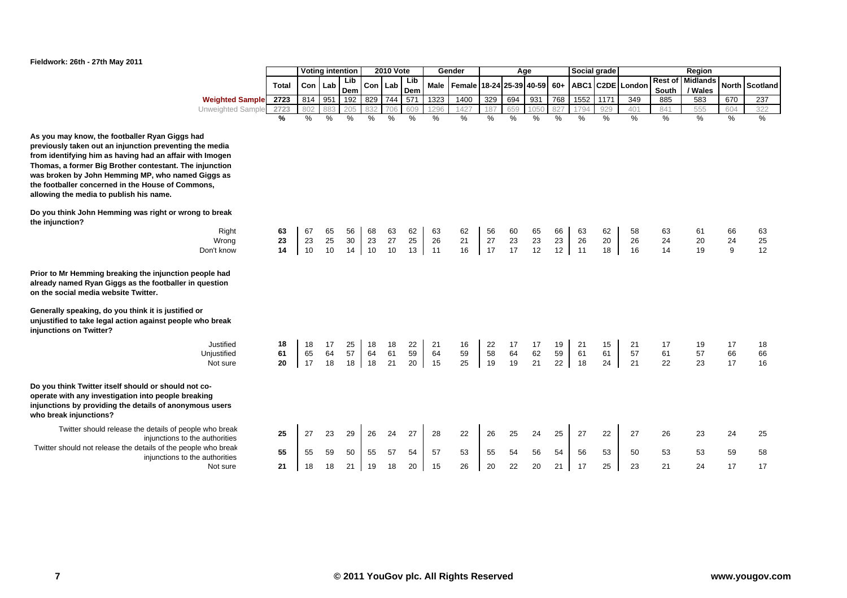

|                                                                                                                                                                                                                                                                                                                                                                                       |                |                | <b>Voting intention</b> |                |                  | <b>2010 Vote</b> |                |                | Gender         |                | Age               |                |                | Social grade   |                |                  |                         | Region                     |               |                |
|---------------------------------------------------------------------------------------------------------------------------------------------------------------------------------------------------------------------------------------------------------------------------------------------------------------------------------------------------------------------------------------|----------------|----------------|-------------------------|----------------|------------------|------------------|----------------|----------------|----------------|----------------|-------------------|----------------|----------------|----------------|----------------|------------------|-------------------------|----------------------------|---------------|----------------|
|                                                                                                                                                                                                                                                                                                                                                                                       | Total          | Con            | Lab                     | Lib<br>Dem     | Con <sub>1</sub> | Lab              | Lib<br>Dem     | <b>Male</b>    | Female         |                | 18-24 25-39 40-59 |                | $60+$          |                |                | ABC1 C2DE London | <b>Rest of</b><br>South | <b>Midlands</b><br>/ Wales |               | North Scotland |
| <b>Weighted Sample</b>                                                                                                                                                                                                                                                                                                                                                                | 2723           | 814            | 951                     | 192            | 829              | 744              | 571            | 1323           | 1400           | 329            | 694               | 931            | 768            | 1552           | 1171           | 349              | 885                     | 583                        | 670           | 237            |
| Unweighted Sample                                                                                                                                                                                                                                                                                                                                                                     | 2723           | 802            | 883                     | 205            | 832              | 706              | 609            | 1296           | 1427           | 187            | 659               | 1050           | 827            | 1794           | 929            | 401              | 841                     | 555                        | 604           | 322            |
|                                                                                                                                                                                                                                                                                                                                                                                       | %              | $\%$           | $\%$                    | $\frac{0}{0}$  | %                | %                | %              | $\%$           | %              | $\frac{0}{0}$  | %                 | %              | $\%$           | $\%$           | $\%$           | %                | $\frac{0}{0}$           | %                          | $\%$          | $\%$           |
| As you may know, the footballer Ryan Giggs had<br>previously taken out an injunction preventing the media<br>from identifying him as having had an affair with Imogen<br>Thomas, a former Big Brother contestant. The injunction<br>was broken by John Hemming MP, who named Giggs as<br>the footballer concerned in the House of Commons,<br>allowing the media to publish his name. |                |                |                         |                |                  |                  |                |                |                |                |                   |                |                |                |                |                  |                         |                            |               |                |
| Do you think John Hemming was right or wrong to break<br>the injunction?<br>Right<br>Wrong<br>Don't know                                                                                                                                                                                                                                                                              | 63<br>23<br>14 | 67<br>23<br>10 | 65<br>25<br>10          | 56<br>30<br>14 | 68<br>23<br>10   | 63<br>27<br>10   | 62<br>25<br>13 | 63<br>26<br>11 | 62<br>21<br>16 | 56<br>27<br>17 | 60<br>23<br>17    | 65<br>23<br>12 | 66<br>23<br>12 | 63<br>26<br>11 | 62<br>20<br>18 | 58<br>26<br>16   | 63<br>24<br>14          | 61<br>20<br>19             | 66<br>24<br>9 | 63<br>25<br>12 |
| Prior to Mr Hemming breaking the injunction people had<br>already named Ryan Giggs as the footballer in question<br>on the social media website Twitter.                                                                                                                                                                                                                              |                |                |                         |                |                  |                  |                |                |                |                |                   |                |                |                |                |                  |                         |                            |               |                |
| Generally speaking, do you think it is justified or<br>unjustified to take legal action against people who break<br>injunctions on Twitter?                                                                                                                                                                                                                                           |                |                |                         |                |                  |                  |                |                |                |                |                   |                |                |                |                |                  |                         |                            |               |                |
| Justified<br>Unjustified                                                                                                                                                                                                                                                                                                                                                              | 18<br>61       | 18<br>65       | 17<br>64                | 25<br>57       | 18               | 18               | 22             | 21<br>64       | 16<br>59       | 22<br>58       | 17<br>64          | 17<br>62       | 19<br>59       | 21<br>61       | 15<br>61       | 21<br>57         | 17<br>61                | 19<br>57                   | 17<br>66      | 18<br>66       |
| Not sure                                                                                                                                                                                                                                                                                                                                                                              | 20             | 17             | 18                      | 18             | 64<br>18         | 61<br>21         | 59<br>20       | 15             | 25             | 19             | 19                | 21             | 22             | 18             | 24             | 21               | 22                      | 23                         | 17            | 16             |
| Do you think Twitter itself should or should not co-<br>operate with any investigation into people breaking<br>injunctions by providing the details of anonymous users<br>who break injunctions?                                                                                                                                                                                      |                |                |                         |                |                  |                  |                |                |                |                |                   |                |                |                |                |                  |                         |                            |               |                |
| Twitter should release the details of people who break<br>injunctions to the authorities                                                                                                                                                                                                                                                                                              | 25             | 27             | 23                      | 29             | 26               | 24               | 27             | 28             | 22             | 26             | 25                | 24             | 25             | 27             | 22             | 27               | 26                      | 23                         | 24            | 25             |
| Twitter should not release the details of the people who break<br>injunctions to the authorities                                                                                                                                                                                                                                                                                      | 55             | 55             | 59                      | 50             | 55               | 57               | 54             | 57             | 53             | 55             | 54                | 56             | 54             | 56             | 53             | 50               | 53                      | 53                         | 59            | 58             |
| Not sure                                                                                                                                                                                                                                                                                                                                                                              | 21             | 18             | 18                      | 21             | 19               | 18               | 20             | 15             | 26             | 20             | 22                | 20             | 21             | 17             | 25             | 23               | 21                      | 24                         | 17            | 17             |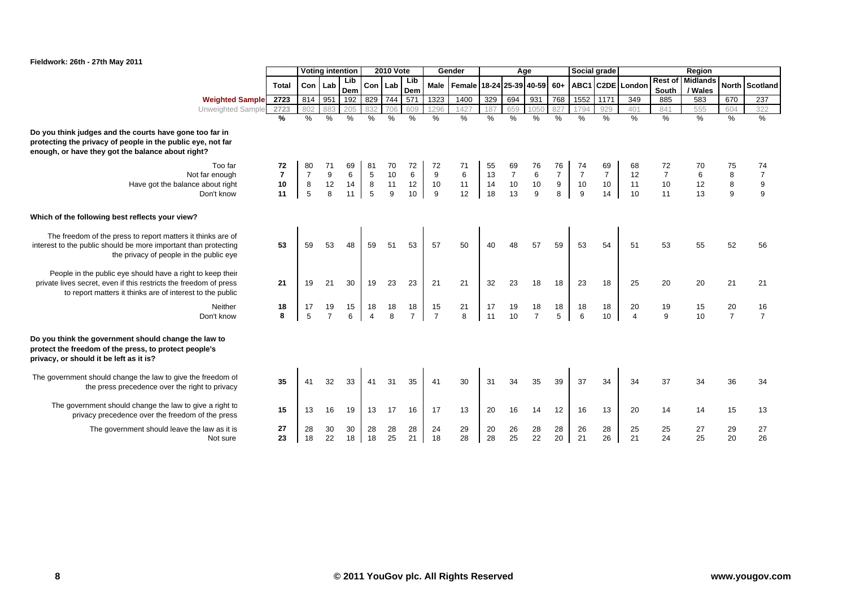

|                                                                                                                                                                                              |                |                | <b>Voting intention</b> |            |                      | <b>2010 Vote</b>   |                      |                      | Gender                                      |          | Age            |                      |                | Social grade   |                |                               |                         | Region                     |                      |                      |
|----------------------------------------------------------------------------------------------------------------------------------------------------------------------------------------------|----------------|----------------|-------------------------|------------|----------------------|--------------------|----------------------|----------------------|---------------------------------------------|----------|----------------|----------------------|----------------|----------------|----------------|-------------------------------|-------------------------|----------------------------|----------------------|----------------------|
|                                                                                                                                                                                              | <b>Total</b>   |                | Con Lab                 | Lib<br>Dem |                      | Con Lab            | Lib<br>Dem           |                      | Male   Female   18-24   25-39   40-59   60+ |          |                |                      |                |                |                | ABC1 C2DE London              | <b>Rest of</b><br>South | <b>Midlands</b><br>/ Wales |                      | North Scotland       |
| <b>Weighted Sample</b>                                                                                                                                                                       | 2723           | 814            | 951                     | 192        | 829                  | 744                | 571                  | 1323                 | 1400                                        | 329      | 694            | 931                  | 768            | 1552           | 1171           | 349                           | 885                     | 583                        | 670                  | 237                  |
| <b>Unweighted Sample</b>                                                                                                                                                                     | 2723           | 802            | 883                     | 205        | 832                  |                    | 609                  | 1296                 | 1427                                        | 187      | 659            | 1050                 |                | 794            | 929            | 401                           | 841                     | 555                        | 604                  | 322                  |
|                                                                                                                                                                                              | %              | $\frac{0}{0}$  | %                       | %          | %                    | $\%$               | %                    | %                    | %                                           | $\%$     | %              | %                    | %              | $\frac{0}{0}$  | $\%$           | $\%$                          | $\frac{0}{0}$           | $\%$                       | %                    | $\frac{0}{0}$        |
| Do you think judges and the courts have gone too far in<br>protecting the privacy of people in the public eye, not far<br>enough, or have they got the balance about right?                  |                |                |                         |            |                      |                    |                      |                      |                                             |          |                |                      |                |                |                |                               |                         |                            |                      |                      |
| Too far                                                                                                                                                                                      | 72             | 80             |                         | 69         | 81                   | 70                 | 72                   | 72                   | 71                                          | 55       | 69             | 76                   | 76             | 74             | 69             | 68                            | 72                      |                            | 75                   | 74                   |
| Not far enough                                                                                                                                                                               | $\overline{7}$ | $\overline{7}$ | 9                       | 6          | $\sqrt{5}$           | 10                 | 6                    | 9                    | 6                                           | 13       | $\overline{7}$ | $\,6\,$              | $\overline{7}$ | $\overline{7}$ | $\overline{7}$ | 12                            | $\boldsymbol{7}$        |                            | 8                    | $\boldsymbol{7}$     |
| Have got the balance about right                                                                                                                                                             | 10             | 8              | 12                      | 14         | 8                    | 11                 | 12                   | 10                   | 11                                          | 14       | 10             | 10                   | 9              | 10             | $10$           | 11                            | $10$                    | 12                         | $\bf 8$              | 9                    |
| Don't know                                                                                                                                                                                   | 11             | 5              | 8                       | 11         | 5                    | 9                  | 10                   | 9                    | 12                                          | 18       | 13             | 9                    | 8              | 9              | 14             | 10                            | 11                      | 13                         | 9                    | 9                    |
| Which of the following best reflects your view?<br>The freedom of the press to report matters it thinks are of                                                                               |                |                |                         |            |                      |                    |                      |                      |                                             |          |                |                      |                |                |                |                               |                         |                            |                      |                      |
| interest to the public should be more important than protecting<br>the privacy of people in the public eye                                                                                   | 53             | 59             | 53                      | 48         | 59                   | 51                 | 53                   | 57                   | 50                                          | 40       | 48             | 57                   | 59             | 53             | 54             | 51                            | 53                      | 55                         | 52                   | 56                   |
| People in the public eye should have a right to keep their<br>private lives secret, even if this restricts the freedom of press<br>to report matters it thinks are of interest to the public | 21             | 19             | 21                      | 30         | 19                   | 23                 | 23                   | 21                   | 21                                          | 32       | 23             | 18                   | 18             | 23             | 18             | 25                            | 20                      | 20                         | 21                   | 21                   |
| Neither<br>Don't know                                                                                                                                                                        | 18<br>8        | 17<br>5        | 19<br>$\overline{7}$    | 15<br>6    | 18<br>$\overline{4}$ | 18<br>$\mathsf{a}$ | 18<br>$\overline{7}$ | 15<br>$\overline{7}$ | 21<br>8                                     | 17<br>11 | 19<br>10       | 18<br>$\overline{7}$ | 18<br>5        | 18<br>6        | 18<br>10       | 20<br>$\overline{\mathbf{4}}$ | 19<br>9                 | 15<br>10                   | 20<br>$\overline{7}$ | 16<br>$\overline{7}$ |
| Do you think the government should change the law to<br>protect the freedom of the press, to protect people's<br>privacy, or should it be left as it is?                                     |                |                |                         |            |                      |                    |                      |                      |                                             |          |                |                      |                |                |                |                               |                         |                            |                      |                      |
| The government should change the law to give the freedom of<br>the press precedence over the right to privacy                                                                                | 35             | 41             | 32                      | 33         | 41                   | 31                 | 35                   | 41                   | 30                                          | 31       | 34             | 35                   | 39             | 37             | 34             | 34                            | 37                      | 34                         | 36                   | 34                   |
| The government should change the law to give a right to<br>privacy precedence over the freedom of the press                                                                                  | 15             | 13             | 16                      | 19         | 13                   | 17                 | 16                   | 17                   | 13                                          | 20       | 16             | 14                   | 12             | 16             | 13             | 20                            | 14                      | 14                         | 15                   | 13                   |
| The government should leave the law as it is<br>Not sure                                                                                                                                     | 27<br>23       | 28<br>18       | 30<br>22                | 30<br>18   | 28<br>18             | 28<br>25           | 28<br>21             | 24<br>18             | 29<br>28                                    | 20<br>28 | 26<br>25       | 28<br>22             | 28<br>20       | 26<br>21       | 28<br>26       | 25<br>21                      | 25<br>24                | 27<br>25                   | 29<br>20             | 27<br>26             |
|                                                                                                                                                                                              |                |                |                         |            |                      |                    |                      |                      |                                             |          |                |                      |                |                |                |                               |                         |                            |                      |                      |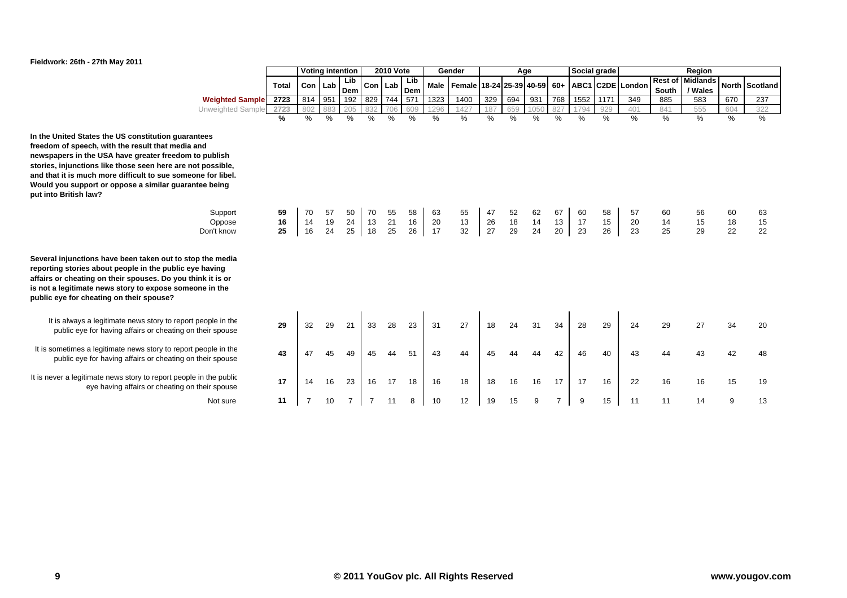

|                                                                                                                                                                                                                                                                                                                                                                                    |              |           |     | <b>Voting intention</b> |               | <b>2010 Vote</b> |            |      | Gender                                      |      | Age |      |      | Social grade |      |                  |                         | Region                     |     |                |
|------------------------------------------------------------------------------------------------------------------------------------------------------------------------------------------------------------------------------------------------------------------------------------------------------------------------------------------------------------------------------------|--------------|-----------|-----|-------------------------|---------------|------------------|------------|------|---------------------------------------------|------|-----|------|------|--------------|------|------------------|-------------------------|----------------------------|-----|----------------|
|                                                                                                                                                                                                                                                                                                                                                                                    | <b>Total</b> | Con   Lab |     | Lib<br>Dem              | Con Lab       |                  | Lib<br>Dem |      | Male   Female   18-24   25-39   40-59   60+ |      |     |      |      |              |      | ABC1 C2DE London | <b>Rest of</b><br>South | <b>Midlands</b><br>/ Wales |     | North Scotland |
| <b>Weighted Sample</b>                                                                                                                                                                                                                                                                                                                                                             | 2723         | 814       | 951 | 192                     | 829           | 744              | 571        | 1323 | 1400                                        | 329  | 694 | 931  | 768  | 1552         | 1171 | 349              | 885                     | 583                        | 670 | 237            |
| Unweighted Sample                                                                                                                                                                                                                                                                                                                                                                  | 2723         | 802       | 883 | 205                     | 832           | 706              | 609        | 1296 | 1427                                        | 187  | 659 | 1050 | 827  | 1794         | 929  | 401              | 841                     | 555                        | 604 | 322            |
|                                                                                                                                                                                                                                                                                                                                                                                    | %            | $\%$      | %   | %                       | $\frac{0}{0}$ | $\%$             | %          | %    | %                                           | $\%$ | %   | %    | $\%$ | %            | $\%$ | %                | $\frac{0}{0}$           | $\%$                       | %   | %              |
| In the United States the US constitution guarantees<br>freedom of speech, with the result that media and<br>newspapers in the USA have greater freedom to publish<br>stories, injunctions like those seen here are not possible,<br>and that it is much more difficult to sue someone for libel.<br>Would you support or oppose a similar guarantee being<br>put into British law? |              |           |     |                         |               |                  |            |      |                                             |      |     |      |      |              |      |                  |                         |                            |     |                |
| Support                                                                                                                                                                                                                                                                                                                                                                            | 59           | 70        | 57  | 50                      | 70            | 55               | 58         | 63   | 55                                          | 47   | 52  | 62   | 67   | 60           | 58   | 57               | 60                      | 56                         | 60  | 63             |
| Oppose                                                                                                                                                                                                                                                                                                                                                                             | 16           | 14        | 19  | 24                      | 13            | 21               | 16         | 20   | 13                                          | 26   | 18  | 14   | 13   | 17           | 15   | 20               | 14                      | 15                         | 18  | 15             |
| Don't know                                                                                                                                                                                                                                                                                                                                                                         | 25           | 16        | 24  | 25                      | 18            | 25               | 26         | 17   | 32                                          | 27   | 29  | 24   | 20   | 23           | 26   | 23               | 25                      | 29                         | 22  | 22             |
| Several injunctions have been taken out to stop the media<br>reporting stories about people in the public eye having<br>affairs or cheating on their spouses. Do you think it is or<br>is not a legitimate news story to expose someone in the<br>public eye for cheating on their spouse?                                                                                         |              |           |     |                         |               |                  |            |      |                                             |      |     |      |      |              |      |                  |                         |                            |     |                |
| It is always a legitimate news story to report people in the<br>public eye for having affairs or cheating on their spouse                                                                                                                                                                                                                                                          | 29           | 32        | 29  | 21                      | 33            | 28               | 23         | 31   | 27                                          | 18   | 24  | 31   | 34   | 28           | 29   | 24               | 29                      | 27                         | 34  | 20             |
| It is sometimes a legitimate news story to report people in the<br>public eye for having affairs or cheating on their spouse                                                                                                                                                                                                                                                       | 43           | 47        |     | 49                      | 45            |                  | 51         | 43   | 44                                          |      |     |      | 42   | 46           | 40   | 43               | 44                      |                            | 42  | 48             |
| It is never a legitimate news story to report people in the public<br>eye having affairs or cheating on their spouse                                                                                                                                                                                                                                                               | 17           | 14        | 16  | 23                      | 16            | 17               | 18         | 16   | 18                                          | 18   | 16  | 16   | 17   | 17           | 16   | 22               | 16                      | 16                         | 15  | 19             |
| Not sure                                                                                                                                                                                                                                                                                                                                                                           | 11           |           | 10  | 7                       | 7             | 11               | 8          | 10   | 12                                          | 19   | 15  | 9    |      | 9            | 15   | 11               | 11                      | 14                         | 9   | 13             |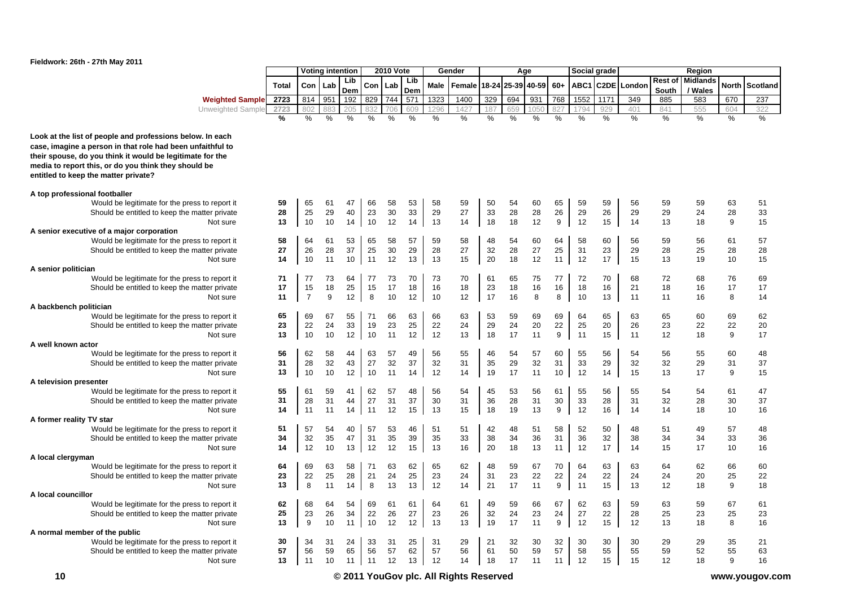

|                                                                                                                                                                                                                                                                                      |              |                | Voting intention |            |               | <b>2010 Vote</b> |            |      | Gender        |       |       | Age           |       |               | Social grade      |               |                  | Region                     |               |               |
|--------------------------------------------------------------------------------------------------------------------------------------------------------------------------------------------------------------------------------------------------------------------------------------|--------------|----------------|------------------|------------|---------------|------------------|------------|------|---------------|-------|-------|---------------|-------|---------------|-------------------|---------------|------------------|----------------------------|---------------|---------------|
|                                                                                                                                                                                                                                                                                      | <b>Total</b> | Con            | Lab              | Lib<br>Dem | Con           | Lab              | Lib<br>Dem | Male | Female        | 18-24 | 25-39 | 40-59         | $60+$ | ABC1          | C <sub>2</sub> DE | London        | Rest of<br>South | <b>Midlands</b><br>/ Wales | North         | Scotland      |
| <b>Weighted Sample</b>                                                                                                                                                                                                                                                               | 2723         | 814            | 951              | 192        | 829           | 744              | 571        | 1323 | 1400          | 329   | 694   | 931           | 768   | 1552          | 1171              | 349           | 885              | 583                        | 670           | 237           |
| Unweighted Sample                                                                                                                                                                                                                                                                    | 2723         | 802            | 883              | 205        | 332           | 706              | 609        | 1296 | 1427          | 187   | 659   | 105           | 827   | 1794          | 929               | 401           | 841              | 555                        | 604           | 322           |
|                                                                                                                                                                                                                                                                                      | $\%$         | $\frac{0}{0}$  | $\frac{0}{0}$    | $\%$       | $\frac{0}{0}$ | $\frac{0}{0}$    | $\%$       | $\%$ | $\frac{0}{0}$ | $\%$  | $\%$  | $\frac{0}{0}$ | $\%$  | $\frac{0}{0}$ | $\frac{0}{0}$     | $\frac{0}{0}$ | %                | $\%$                       | $\frac{0}{0}$ | $\frac{9}{6}$ |
| Look at the list of people and professions below. In each<br>case, imagine a person in that role had been unfaithful to<br>their spouse, do you think it would be legitimate for the<br>media to report this, or do you think they should be<br>entitled to keep the matter private? |              |                |                  |            |               |                  |            |      |               |       |       |               |       |               |                   |               |                  |                            |               |               |
| A top professional footballer                                                                                                                                                                                                                                                        |              |                |                  |            |               |                  |            |      |               |       |       |               |       |               |                   |               |                  |                            |               |               |
| Would be legitimate for the press to report it                                                                                                                                                                                                                                       | 59           | 65             | 61               | 47         | 66            | 58               | 53         | 58   | 59            | 50    | 54    | 60            | 65    | 59            | 59                | 56            | 59               | 59                         | 63            | 51            |
| Should be entitled to keep the matter private                                                                                                                                                                                                                                        | 28           | 25             | 29               | 40         | 23            | 30               | 33         | 29   | 27            | 33    | 28    | 28            | 26    | 29            | 26                | 29            | 29               | 24                         | 28            | 33            |
| Not sure                                                                                                                                                                                                                                                                             | 13           | 10             | 10               | 14         | 10            | 12               | 14         | 13   | 14            | 18    | 18    | 12            | 9     | 12            | 15                | 14            | 13               | 18                         | 9             | 15            |
| A senior executive of a major corporation                                                                                                                                                                                                                                            |              |                |                  |            |               |                  |            |      |               |       |       |               |       |               |                   |               |                  |                            |               |               |
| Would be legitimate for the press to report it                                                                                                                                                                                                                                       | 58           | 64             | 61               | 53         | 65            | 58               | 57         | 59   | 58            | 48    | 54    | 60            | 64    | 58            | 60                | 56            | 59               | 56                         | 61            | 57            |
| Should be entitled to keep the matter private                                                                                                                                                                                                                                        | 27           | 26             | 28               | 37         | 25            | 30               | 29         | 28   | 27            | 32    | 28    | 27            | 25    | 31            | 23                | 29            | 28               | 25                         | 28            | 28            |
| Not sure                                                                                                                                                                                                                                                                             | 14           | 10             | 11               | 10         | 11            | 12               | 13         | 13   | 15            | 20    | 18    | 12            | 11    | 12            | 17                | 15            | 13               | 19                         | 10            | 15            |
| A senior politician                                                                                                                                                                                                                                                                  |              |                |                  |            |               |                  |            |      |               |       |       |               |       |               |                   |               |                  |                            |               |               |
| Would be legitimate for the press to report it                                                                                                                                                                                                                                       | 71           | 77             | 73               | 64         | 77            | 73               | 70         | 73   | 70            | 61    | 65    | 75            | 77    | 72            | 70                | 68            | 72               | 68                         | 76            | 69            |
| Should be entitled to keep the matter private                                                                                                                                                                                                                                        | 17           | 15             | 18               | 25         | 15            | 17               | 18         | 16   | 18            | 23    | 18    | 16            | 16    | 18            | 16                | 21            | 18               | 16                         | 17            | 17            |
| Not sure                                                                                                                                                                                                                                                                             | 11           | $\overline{7}$ | 9                | 12         | 8             | 10               | 12         | 10   | 12            | 17    | 16    | 8             | 8     | 10            | 13                | 11            | 11               | 16                         | 8             | 14            |
| A backbench politician                                                                                                                                                                                                                                                               |              |                |                  |            |               |                  |            |      |               |       |       |               |       |               |                   |               |                  |                            |               |               |
| Would be legitimate for the press to report it                                                                                                                                                                                                                                       | 65           | 69             | 67               | 55         | 71            | 66               | 63         | 66   | 63            | 53    | 59    | 69            | 69    | 64            | 65                | 63            | 65               | 60                         | 69            | 62            |
| Should be entitled to keep the matter private                                                                                                                                                                                                                                        | 23           | 22             | 24               | 33         | 19            | 23               | 25         | 22   | 24            | 29    | 24    | 20            | 22    | 25            | 20                | 26            | 23               | 22                         | 22            | 20            |
| Not sure                                                                                                                                                                                                                                                                             | 13           | 10             | 10               | 12         | 10            | 11               | 12         | 12   | 13            | 18    | 17    | 11            | 9     | 11            | 15                | 11            | 12               | 18                         | 9             | 17            |
| A well known actor                                                                                                                                                                                                                                                                   |              |                |                  |            |               |                  |            |      |               |       |       |               |       |               |                   |               |                  |                            |               |               |
| Would be legitimate for the press to report it                                                                                                                                                                                                                                       | 56           | 62             | 58               | 44         | 63            | 57               | 49         | 56   | 55            | 46    | 54    | 57            | 60    | 55            | 56                | 54            | 56               | 55                         | 60            | 48            |
| Should be entitled to keep the matter private                                                                                                                                                                                                                                        | 31           | 28             | 32               | 43         | 27            | 32               | 37         | 32   | 31            | 35    | 29    | 32            | 31    | 33            | 29                | 32            | 32               | 29                         | 31            | 37            |
| Not sure                                                                                                                                                                                                                                                                             | 13           | 10             | 10               | 12         | 10            | 11               | 14         | 12   | 14            | 19    | 17    | 11            | 10    | 12            | 14                | 15            | 13               | 17                         | 9             | 15            |
| A television presenter                                                                                                                                                                                                                                                               |              |                |                  |            |               |                  |            |      |               |       |       |               |       |               |                   |               |                  |                            |               |               |
| Would be legitimate for the press to report it                                                                                                                                                                                                                                       | 55           | 61             | 59               | 41         | 62            | 57               | 48         | 56   | 54            | 45    | 53    | 56            | 61    | 55            | 56                | 55            | 54               | 54                         | 61            | 47            |
| Should be entitled to keep the matter private                                                                                                                                                                                                                                        | 31           | 28             | 31               | 44         | 27            | 31               | 37         | 30   | 31            | 36    | 28    | 31            | 30    | 33            | 28                | 31            | 32               | 28                         | 30            | 37            |
| Not sure                                                                                                                                                                                                                                                                             | 14           | 11             | 11               | 14         | 11            | 12               | 15         | 13   | 15            | 18    | 19    | 13            | 9     | 12            | 16                | 14            | 14               | 18                         | 10            | 16            |
| A former reality TV star                                                                                                                                                                                                                                                             |              |                |                  |            |               |                  |            |      |               |       |       |               |       |               |                   |               |                  |                            |               |               |
| Would be legitimate for the press to report it                                                                                                                                                                                                                                       | 51           | 57             | 54               | 40         | 57            | 53               | 46         | 51   | 51            | 42    | 48    | 51            | 58    | 52            | 50                | 48            | 51               | 49                         | 57            | 48            |
| Should be entitled to keep the matter private                                                                                                                                                                                                                                        | 34           | 32             | 35               | 47         | 31            | 35               | 39         | 35   | 33            | 38    | 34    | 36            | 31    | 36            | 32                | 38            | 34               | 34                         | 33            | 36            |
| Not sure                                                                                                                                                                                                                                                                             | 14           | 12             | 10               | 13         | 12            | 12               | 15         | 13   | 16            | 20    | 18    | 13            | 11    | 12            | 17                | 14            | 15               | 17                         | 10            | 16            |
| A local clergyman                                                                                                                                                                                                                                                                    |              |                |                  |            |               |                  |            |      |               |       |       |               |       |               |                   |               |                  |                            |               |               |
| Would be legitimate for the press to report it                                                                                                                                                                                                                                       | 64           | 69             | 63               | 58         | 71            | 63               | 62         | 65   | 62            | 48    | 59    | 67            | 70    | 64            | 63                | 63            | 64               | 62                         | 66            | 60            |
| Should be entitled to keep the matter private                                                                                                                                                                                                                                        | 23           | 22             | 25               | 28         | 21            | 24               | 25         | 23   | 24            | 31    | 23    | 22            | 22    | 24            | 22                | 24            | 24               | 20                         | 25            | 22            |
| Not sure                                                                                                                                                                                                                                                                             | 13           | 8              | 11               | 14         | 8             | 13               | 13         | 12   | 14            | 21    | 17    | 11            | 9     | 11            | 15                | 13            | 12               | 18                         | 9             | 18            |
| A local councillor                                                                                                                                                                                                                                                                   |              |                |                  |            |               |                  |            |      |               |       |       |               |       |               |                   |               |                  |                            |               |               |
| Would be legitimate for the press to report it                                                                                                                                                                                                                                       | 62           | 68             | 64               | 54         | 69            | 61               | 61         | 64   | 61            | 49    | 59    | 66            | 67    | 62            | 63                | 59            | 63               | 59                         | 67            | 61            |
| Should be entitled to keep the matter private                                                                                                                                                                                                                                        | 25           | 23             | 26               | 34         | 22            | 26               | 27         | 23   | 26            | 32    | 24    | 23            | 24    | 27            | 22                | 28            | 25               | 23                         | 25            | 23            |
| Not sure                                                                                                                                                                                                                                                                             | 13           | 9              | 10               | 11         | 10            | 12               | 12         | 13   | 13            | 19    | 17    | 11            | 9     | 12            | 15                | 12            | 13               | 18                         | 8             | 16            |
| A normal member of the public                                                                                                                                                                                                                                                        |              |                |                  |            |               |                  |            |      |               |       |       |               |       |               |                   |               |                  |                            |               |               |
| Would be legitimate for the press to report it                                                                                                                                                                                                                                       | 30           | 34             | 31               | 24         | 33            | 31               | 25         | 31   | 29            | 21    | 32    | 30            | 32    | 30            | 30                | 30            | 29               | 29                         | 35            | 21            |
| Should be entitled to keep the matter private                                                                                                                                                                                                                                        | 57           | 56             | 59               | 65         | 56            | 57               | 62         | 57   | 56            | 61    | 50    | 59            | 57    | 58            | 55                | 55            | 59               | 52                         | 55            | 63            |
| Not sure                                                                                                                                                                                                                                                                             | 13           | 11             | 10               | 11         | 11            | 12               | 13         | 12   | 14            | 18    | 17    | 11            | 11    | 12            | 15                | 15            | 12               | 18                         | 9             | 16            |
|                                                                                                                                                                                                                                                                                      |              |                |                  |            |               |                  |            |      |               |       |       |               |       |               |                   |               |                  |                            |               |               |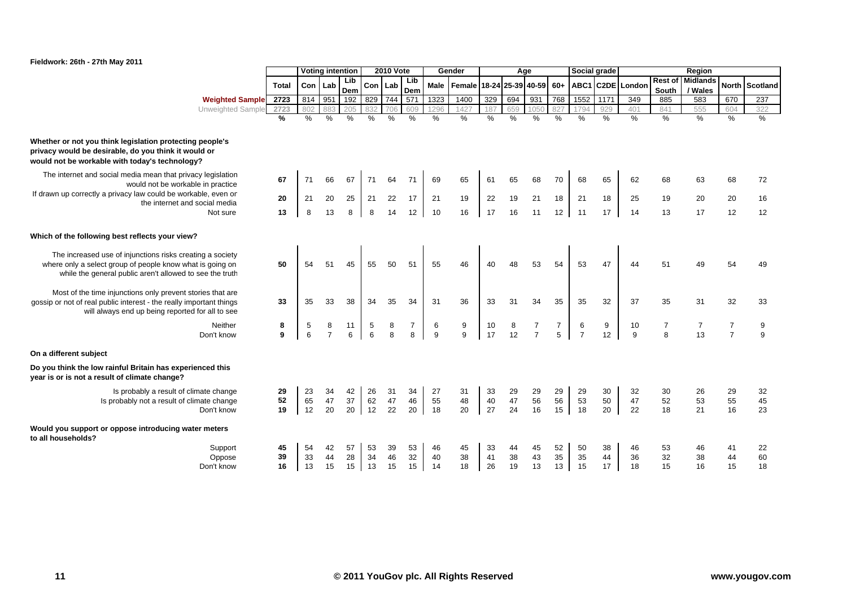

|                                                                                                                                                                                       |                |                | <b>Voting intention</b> |                |                | <b>2010 Vote</b>  |                     |                | Gender         |                |                   | Age            |                     |                     | Social grade   |                  |                         | Region                     |                                  |                |
|---------------------------------------------------------------------------------------------------------------------------------------------------------------------------------------|----------------|----------------|-------------------------|----------------|----------------|-------------------|---------------------|----------------|----------------|----------------|-------------------|----------------|---------------------|---------------------|----------------|------------------|-------------------------|----------------------------|----------------------------------|----------------|
|                                                                                                                                                                                       | <b>Total</b>   | Con Lab        |                         | Lib<br>Dem     | Con            | Lab               | Lib<br>Dem          | Male           | Female         |                | 18-24 25-39 40-59 |                | $60+$               |                     |                | ABC1 C2DE London | <b>Rest of</b><br>South | <b>Midlands</b><br>/ Wales |                                  | North Scotland |
| <b>Weighted Sample</b>                                                                                                                                                                | 2723           | 814            | 951                     | 192            | 829            | 744               | $\overline{571}$    | 1323           | 1400           | 329            | 694               | 931            | 768                 | 1552                | 1171           | 349              | 885                     | 583                        | 670                              | 237            |
| Unweighted Sample                                                                                                                                                                     | 2723           | 802            | 883                     | 205            | 832            | 706               | 609                 | 1296           | 1427           | 187            | 659               | 1050           | 827                 | 1794                | 929            | 401              | 841                     | 555                        | 604                              | 322            |
|                                                                                                                                                                                       | $\frac{9}{6}$  | $\%$           | $\%$                    | $\%$           | $\frac{1}{2}$  | $\%$              | $\frac{9}{6}$       | $\%$           | $\%$           | $\%$           | $\%$              | $\%$           | $\frac{9}{6}$       | $\%$                | %              | $\%$             | $\%$                    | $\%$                       | $\%$                             | $\frac{0}{6}$  |
| Whether or not you think legislation protecting people's<br>privacy would be desirable, do you think it would or<br>would not be workable with today's technology?                    |                |                |                         |                |                |                   |                     |                |                |                |                   |                |                     |                     |                |                  |                         |                            |                                  |                |
| The internet and social media mean that privacy legislation<br>would not be workable in practice                                                                                      | 67             | 71             | 66                      | 67             | 71             | 64                | 71                  | 69             | 65             | 61             | 65                | 68             | 70                  | 68                  | 65             | 62               | 68                      | 63                         | 68                               | 72             |
| If drawn up correctly a privacy law could be workable, even on<br>the internet and social media                                                                                       | 20             | 21             | 20                      | 25             | 21             | 22                | 17                  | 21             | 19             | 22             | 19                | 21             | 18                  | 21                  | 18             | 25               | 19                      | 20                         | 20                               | 16             |
| Not sure                                                                                                                                                                              | 13             | 8              | 13                      | 8              | 8              | 14                | 12 <sup>2</sup>     | 10             | 16             | 17             | 16                | 11             | 12                  | 11                  | 17             | 14               | 13                      | 17                         | 12                               | 12             |
| Which of the following best reflects your view?                                                                                                                                       |                |                |                         |                |                |                   |                     |                |                |                |                   |                |                     |                     |                |                  |                         |                            |                                  |                |
| The increased use of injunctions risks creating a society<br>where only a select group of people know what is going on<br>while the general public aren't allowed to see the truth    | 50             | 54             | 51                      | 45             | 55             | 50                | 51                  | 55             | 46             | 40             | 48                | 53             | 54                  | 53                  | 47             | 44               | 51                      | 49                         | 54                               | 49             |
| Most of the time injunctions only prevent stories that are<br>gossip or not of real public interest - the really important things<br>will always end up being reported for all to see | 33             | 35             | 33                      | 38             | 34             | 35                | 34                  | 31             | 36             | 33             | 31                | 34             | 35                  | 35                  | 32             | 37               | 35                      | 31                         | 32                               | 33             |
| Neither<br>Don't know                                                                                                                                                                 | 8<br>9         | 5<br>6         | 8<br>$\overline{7}$     | 11<br>6        | 5<br>6         | 8<br>$\mathsf{a}$ | $\overline{7}$<br>8 | 6<br>9         | 9<br>9         | 10<br>17       | 8<br>12           | $\overline{7}$ | $\overline{7}$<br>5 | 6<br>$\overline{7}$ | 9<br>12        | 10<br>9          | $\overline{7}$<br>8     | $\overline{7}$<br>13       | $\overline{7}$<br>$\overline{7}$ | 9<br>9         |
| On a different subject                                                                                                                                                                |                |                |                         |                |                |                   |                     |                |                |                |                   |                |                     |                     |                |                  |                         |                            |                                  |                |
| Do you think the low rainful Britain has experienced this<br>year is or is not a result of climate change?                                                                            |                |                |                         |                |                |                   |                     |                |                |                |                   |                |                     |                     |                |                  |                         |                            |                                  |                |
| Is probably a result of climate change<br>Is probably not a result of climate change<br>Don't know                                                                                    | 29<br>52<br>19 | 23<br>65<br>12 | 34<br>47<br>20          | 42<br>37<br>20 | 26<br>62<br>12 | 31<br>47<br>22    | 34<br>46<br>20      | 27<br>55<br>18 | 31<br>48<br>20 | 33<br>40<br>27 | 29<br>47<br>24    | 29<br>56<br>16 | 29<br>56<br>15      | 29<br>53<br>18      | 30<br>50<br>20 | 32<br>47<br>22   | 30<br>52<br>18          | 26<br>53<br>21             | 29<br>55<br>16                   | 32<br>45<br>23 |
| Would you support or oppose introducing water meters<br>to all households?                                                                                                            |                |                |                         |                |                |                   |                     |                |                |                |                   |                |                     |                     |                |                  |                         |                            |                                  |                |
| Support                                                                                                                                                                               | 45             | 54             | 42                      | 57             | 53             | 39                | 53                  | 46             | 45             | 33             | 44                | 45             | 52                  | 50                  | 38             | 46               | 53                      | 46                         | 41                               | 22             |
| Oppose                                                                                                                                                                                | 39             | 33             | 44                      | 28             | 34             | 46                | 32                  | 40             | 38             | 41             | 38                | 43             | 35                  | 35                  | 44             | 36               | 32                      | 38                         | 44                               | 60             |
| Don't know                                                                                                                                                                            | 16             | 13             | 15                      | 15             | 13             | 15                | 15                  | 14             | 18             | 26             | 19                | 13             | 13                  | 15                  | 17             | 18               | 15                      | 16                         | 15                               | 18             |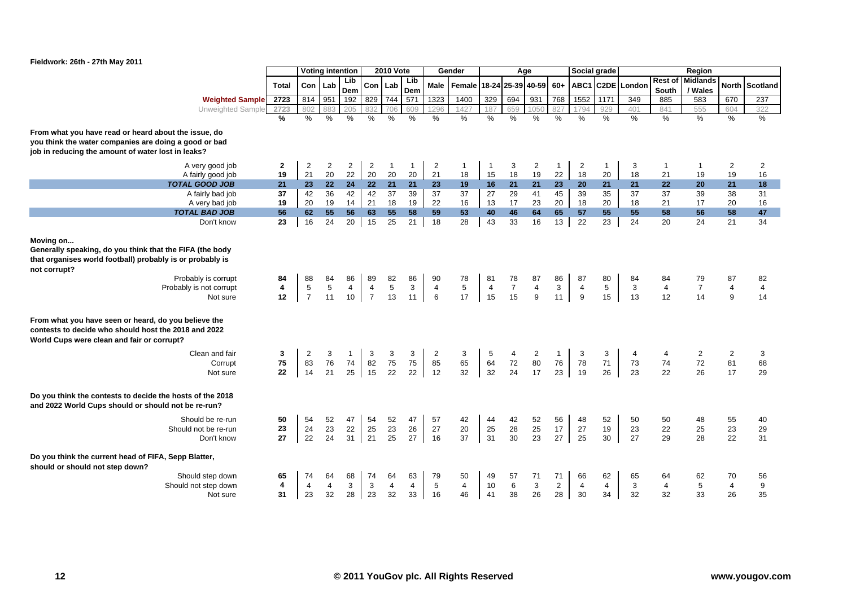

|                                                                                                                                                                              |                    |                      | <b>Voting intention</b>  |                      |                      | <b>2010 Vote</b>   |                    |                      | Gender               |                    |                | Age                  |                | Social grade         |                    |                  |                | Region                             |                      |                      |
|------------------------------------------------------------------------------------------------------------------------------------------------------------------------------|--------------------|----------------------|--------------------------|----------------------|----------------------|--------------------|--------------------|----------------------|----------------------|--------------------|----------------|----------------------|----------------|----------------------|--------------------|------------------|----------------|------------------------------------|----------------------|----------------------|
|                                                                                                                                                                              | <b>Total</b>       | Con                  | Lab                      | Lib<br>Dem           | Con                  | Lab                | Lib<br>Dem         | Male                 | Female               | 18-24              | 25-39 40-59    |                      | $60+$          |                      |                    | ABC1 C2DE London | South          | <b>Rest of Midlands</b><br>/ Wales | North                | Scotland             |
| <b>Weighted Sample</b>                                                                                                                                                       | 2723               | 814                  | 951                      | 192                  | 829                  | 744                | 571                | 1323                 | 1400                 | 329                | 694            | 931                  | 768            | 1552                 | 1171               | 349              | 885            | 583                                | 670                  | 237                  |
| Unweighted Sample                                                                                                                                                            | 2723               | 802                  |                          | 205                  | 832                  | 706                | 609                | 296                  | 1427                 | 187                | 659            | 105                  | 82             | 794                  | 929                | 401              | 841            | 555                                | 604                  | 322                  |
|                                                                                                                                                                              | $\frac{9}{6}$      | $\frac{9}{6}$        | $\frac{9}{6}$            | $\frac{0}{6}$        | $\%$                 | $\%$               | $\%$               | %                    | %                    | %                  | %              | $\frac{0}{6}$        | $\frac{9}{6}$  | %                    | $\frac{9}{6}$      | %                | %              | %                                  | $\frac{9}{6}$        | %                    |
| From what you have read or heard about the issue, do                                                                                                                         |                    |                      |                          |                      |                      |                    |                    |                      |                      |                    |                |                      |                |                      |                    |                  |                |                                    |                      |                      |
| you think the water companies are doing a good or bad                                                                                                                        |                    |                      |                          |                      |                      |                    |                    |                      |                      |                    |                |                      |                |                      |                    |                  |                |                                    |                      |                      |
| job in reducing the amount of water lost in leaks?                                                                                                                           |                    |                      |                          |                      |                      |                    |                    |                      |                      |                    |                |                      |                |                      |                    |                  |                |                                    |                      |                      |
|                                                                                                                                                                              |                    |                      |                          |                      |                      |                    |                    |                      |                      |                    |                |                      |                |                      |                    |                  |                |                                    |                      |                      |
| A very good job<br>A fairly good job                                                                                                                                         | $\mathbf{2}$<br>19 | $\overline{2}$<br>21 | $\overline{2}$<br>$20\,$ | $\overline{2}$<br>22 | $\overline{2}$<br>20 | $\mathbf{1}$<br>20 | $\mathbf{1}$<br>20 | $\overline{2}$<br>21 | $\overline{1}$<br>18 | $\mathbf{1}$<br>15 | 3<br>18        | $\overline{2}$<br>19 | 1<br>22        | $\overline{2}$<br>18 | $\mathbf{1}$<br>20 | 3<br>18          | -1<br>21       | $\mathbf 1$<br>19                  | $\overline{2}$<br>19 | $\overline{2}$<br>16 |
| <b>TOTAL GOOD JOB</b>                                                                                                                                                        | 21                 | 23                   | 22 <sub>2</sub>          | 24                   | 22                   | 21                 | 21                 | 23                   | 19                   | 16                 | 21             | 21                   | 23             | 20                   | 21                 | 21               | 22             | 20                                 | 21                   | 18                   |
| A fairly bad job                                                                                                                                                             | 37                 | 42                   | 36                       | 42                   | 42                   | 37                 | 39                 | 37                   | 37                   | 27                 | 29             | 41                   | 45             | 39                   | 35                 | 37               | 37             | 39                                 | 38                   | 31                   |
| A very bad job                                                                                                                                                               | 19                 | 20                   | 19                       | 14                   | 21                   | 18                 | 19                 | 22                   | 16                   | 13                 | 17             | 23                   | 20             | 18                   | $20\,$             | 18               | 21             | 17                                 | 20                   | 16                   |
| <b>TOTAL BAD JOB</b>                                                                                                                                                         | 56                 | 62                   | 55                       | 56                   | 63                   | 55                 | 58                 | 59                   | 53                   | 40                 | 46             | 64                   | 65             | 57                   | 55                 | 55               | 58             | 56                                 | 58                   | 47                   |
| Don't know                                                                                                                                                                   | 23                 | 16                   | 24                       | 20                   | 15                   | 25                 | 21                 | 18                   | 28                   | 43                 | 33             | 16                   | 13             | $\overline{22}$      | 23                 | 24               | 20             | 24                                 | 21                   | 34                   |
|                                                                                                                                                                              |                    |                      |                          |                      |                      |                    |                    |                      |                      |                    |                |                      |                |                      |                    |                  |                |                                    |                      |                      |
| Moving on<br>Generally speaking, do you think that the FIFA (the body<br>that organises world football) probably is or probably is<br>not corrupt?<br>Probably is corrupt    | 84                 | 88                   | 84                       | 86                   | 89                   | 82                 | 86                 | 90                   | 78                   | 81                 | 78             | 87                   | 86             | 87                   | 80                 | 84               | 84             | 79                                 | 87                   | 82                   |
| Probably is not corrupt                                                                                                                                                      | 4                  | $\overline{5}$       | 5                        | $\overline{4}$       | $\overline{4}$       | 5                  | 3                  | $\overline{4}$       | 5                    | $\overline{4}$     | $\overline{7}$ | $\overline{4}$       | 3              | $\overline{4}$       | 5                  | 3                | $\overline{4}$ | $\overline{7}$                     | 4                    | $\overline{4}$       |
| Not sure                                                                                                                                                                     | 12                 | $\overline{7}$       | 11                       | 10                   | $\overline{7}$       | 13                 | 11                 | 6                    | 17                   | 15                 | 15             | 9                    | 11             | $\boldsymbol{9}$     | 15                 | 13               | 12             | 14                                 | 9                    | 14                   |
| From what you have seen or heard, do you believe the<br>contests to decide who should host the 2018 and 2022<br>World Cups were clean and fair or corrupt?<br>Clean and fair | 3<br>75            | 2                    | 3<br>76                  | $\overline{1}$<br>74 | 3                    | 3                  | 3                  | 2                    | 3                    | 5<br>64            | 4              | 2<br>80              | 1              | 3<br>78              | 3                  | 4                | 4<br>74        | 2<br>72                            | $\overline{c}$       | 3                    |
| Corrupt                                                                                                                                                                      | 22                 | 83<br>14             | 21                       | 25                   | 82<br>15             | 75<br>22           | 75<br>22           | 85<br>12             | 65<br>32             | 32                 | 72<br>24       | 17                   | 76<br>23       | 19                   | 71<br>26           | 73<br>23         | 22             | 26                                 | 81<br>17             | 68<br>29             |
| Not sure                                                                                                                                                                     |                    |                      |                          |                      |                      |                    |                    |                      |                      |                    |                |                      |                |                      |                    |                  |                |                                    |                      |                      |
| Do you think the contests to decide the hosts of the 2018<br>and 2022 World Cups should or should not be re-run?                                                             |                    |                      |                          |                      |                      |                    |                    |                      |                      |                    |                |                      |                |                      |                    |                  |                |                                    |                      |                      |
| Should be re-run                                                                                                                                                             | 50                 | 54                   | 52                       | 47                   | 54                   | 52                 | 47                 | 57                   | 42                   | 44                 | 42             | 52                   | 56             | 48                   | 52                 | 50               | 50             | 48                                 | 55                   | 40                   |
| Should not be re-run                                                                                                                                                         | 23                 | 24                   | 23                       | 22                   | 25                   | 23                 | 26                 | 27                   | 20                   | 25                 | 28             | 25                   | 17             | 27                   | 19                 | 23               | 22             | 25                                 | 23                   | 29                   |
| Don't know                                                                                                                                                                   | 27                 | 22                   | 24                       | 31                   | 21                   | 25                 | 27                 | 16                   | 37                   | 31                 | 30             | 23                   | 27             | 25                   | 30                 | 27               | 29             | 28                                 | 22                   | 31                   |
| Do you think the current head of FIFA, Sepp Blatter,<br>should or should not step down?                                                                                      |                    |                      |                          |                      |                      |                    |                    |                      |                      |                    |                |                      |                |                      |                    |                  |                |                                    |                      |                      |
| Should step down                                                                                                                                                             | 65                 | 74                   | 64                       | 68                   | 74                   | 64                 | 63                 | 79                   | 50                   | 49                 | 57             | 71                   | 71             | 66                   | 62                 | 65               | 64             | 62                                 | 70                   | 56                   |
| Should not step down                                                                                                                                                         | 4                  | $\overline{4}$       | $\overline{4}$           | 3                    | $\mathbf{3}$         | $\overline{4}$     | $\overline{4}$     | 5                    | $\overline{4}$       | 10                 | 6              | $\mathbf{3}$         | $\overline{2}$ | $\overline{4}$       | $\overline{4}$     | 3                | $\overline{4}$ | 5                                  | $\overline{4}$       | 9                    |
| Not sure                                                                                                                                                                     | 31                 | 23                   | 32                       | 28                   | 23                   | 32                 | 33                 | 16                   | 46                   | 41                 | 38             | 26                   | 28             | 30                   | 34                 | 32               | 32             | 33                                 | 26                   | 35                   |